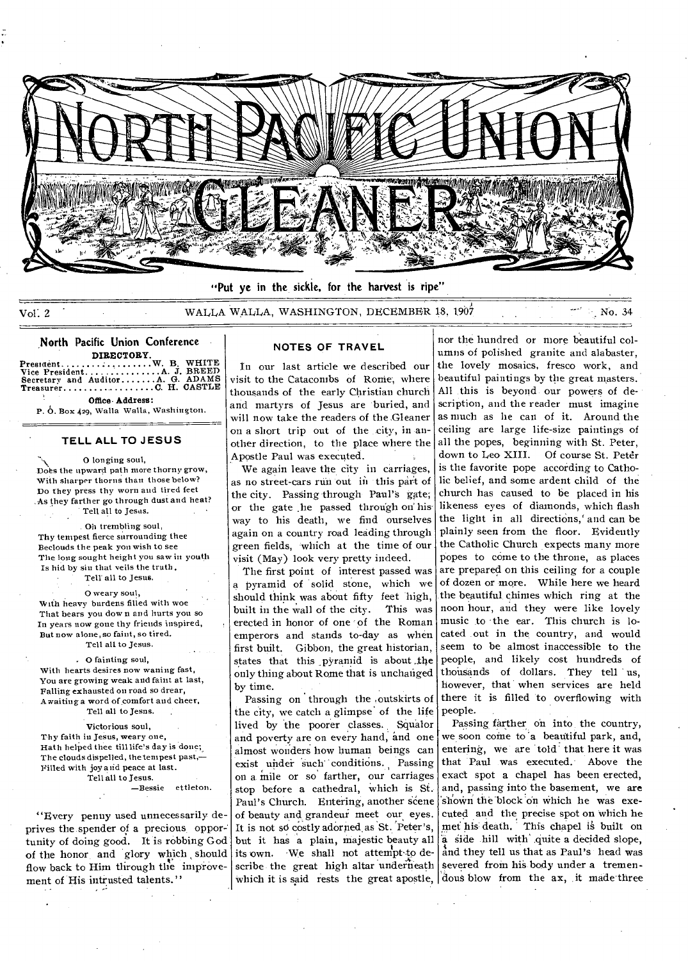

Vol. 2 WALLA WALLA, WASHINGTON, DECEMBER 18, 1907 No. 34

**North Pacific Union Conference DIRECTORY**  Prestdent W. B. WHITE Vice President A J BREED Secretary and Auditor A G. ADAMS Treasurer C **H.** CASTLE Office- **Address:** 

P. O. Box 429, Walla Walla, Washington.

## **TELL ALL TO JESUS**

O longing soul, Does the upward path more thorny grow, With sharper thorns than those below? Do they press thy worn and tired feet As they farther go through dust and heat? Tell all to Jesus.

Oh trembling soul, Thy tempest fierce surrounding thee Beclouds the peak you wish to see The long sought height you saw in youth Is hid by sin that veils the truth Tell' all to Jesus.

0 weary soul, With heavy burdens filled with woe That bears you down and hurts you so In years now gone thy friends inspired, But now alone, so faint, so tired. Tell all to Jesus.

O fainting soul,

With hearts desires now waning fast, You are growing weak and faint at last, Falling exhausted on road so drear, Awaiting a word of comfort and cheer, Tell all to Jesns.

Victorious soul, Thy faith in Jesus, weary one, Hath helped thee till life's day is done; The clouds dispelled, thetempest past,— Filled with joy and peace at last. Tell all to Jesus. —Bessie ettleton.

"Every penny used unnecessarily deprives the spender of a precious, opportunity of doing good. It is robbing God of the honor, and glory which should flow back to Him through the improvement of His intrusted talents."

### **NOTES OF TRAVEL**

In our last article we described our visit to the Catacombs of Ronie', where thousands of the early Christian church and martyrs of Jesus are buried, and will now take the readers of the Gleaner on a short trip out of the city, in another direction, to the place where the Apostle Paul was executed.

We again leave the city in carriages, as no street-cars run out in this part of the city. Passing through Paul's gate; or the gate .he passed through on his' way to his death, we find ourselves again on a country road ledding through green fields, which at the time of our visit (May) look very pretty indeed.

The first point of interest passed was a pyramid of solid stone, which we should think was about fifty feet high, built in the wall of the city. This was erected in honor of one of the Roman emperors and stands to-day as when first built. Gibbon, the great historian, states that this pyramid is about the only thing about Rome that is unchanged by time.

Passing on through the ,outskirts of the city, we catch a glimpse' of the life lived by the poorer classes. Squalor and poverty are on every hand, and one almost wonders how human beings can exist under such conditions. Passing on a mile or so' farther, our carriages stop before a cathedral, Which is Si. Paul's Church. Entering, another scene of beauty and grandeur meet our eyes. It is not so costly adorned as St. Peter's, but it has a plain, majestic beauty all its own. We shall not attempt to describe the great high altar underneath which it is said rests the great apostle,

nor the hundred or more beautiful columns of polished granite and alabaster, the lovely mosaics, fresco work, and beautiful paintings by the great masters. All this is beyond our powers of description, and the reader must imagine as much as lie can of it. Around the ceiling are large life-size paintings of all the popes, beginning with St. Peter, down to Leo XIII. Of course St. Peter is the favorite pope according to Catholic belief, and some ardent child of the church has caused to be placed in his likeness eyes of diamonds, which flash the light in all directions,' and can be plainly seen from the floor. Evidently the Catholic Church expects many more popes to come to the throne, as places are prepared on this ceiling for a couple of dozen or more. While here we heard the beautiful chimes which ring at the noon hour, and they were like lovely music to the ear. This church is located out in the country, and would seem to be almost inaccessible to the people, and likely cost hundreds of thousands of dollars. They tell us, however, that when services are held there it is filled 'to overflowing with people.

Passing farther on into the country, we soon come to a beautiful park, and, entering, we are told' that here it was that Paul was executed.' Above the exact spot a chapel has been erected, and, passing into the basement, we are shown the block on which he was executed and the precise spot on which he met his death. This chapel is built on a side hill with quite a decided slope, and they tell us that as Paul's head was severed from his body under a tremendous blow from the ax, it made three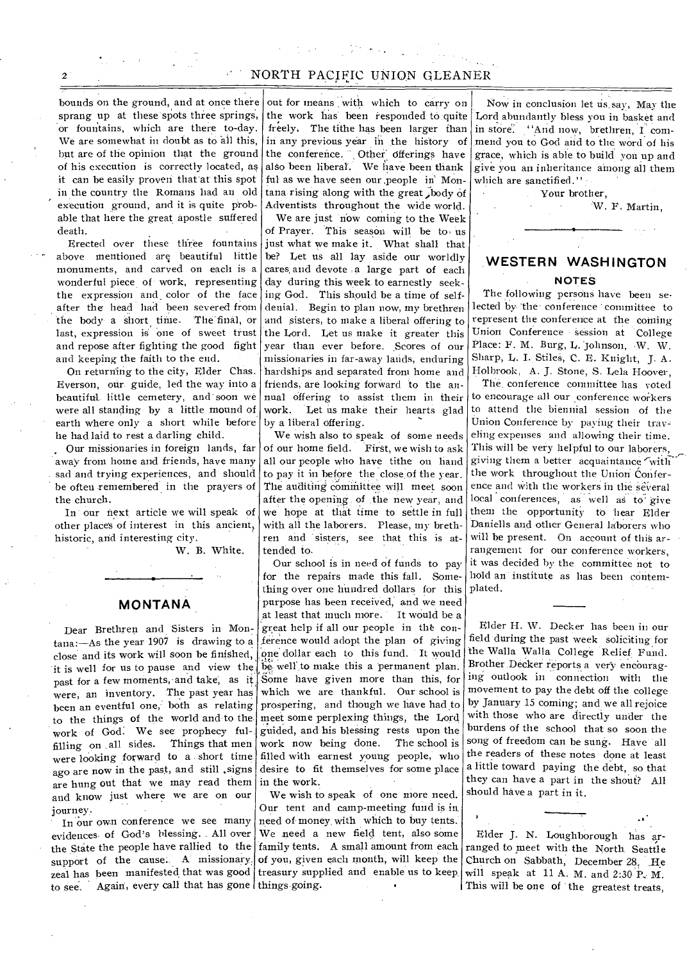## 2 NORTH PACIFIC UNION GLEANER

bounds on the ground, and at once there sprang up at these spots three springs, or fountains, which are there to-day. We are somewhat in doubt as to all this, but are of the opinion that the ground of his execution is correctly located, as it can be easily proven that'at this spot in the country the Romans had an old execution ground, and it is quite probable that here the great apostle suffered death.

Erected over these three fountains above mentioned are beautiful little monuments, and carved on each is a wonderful piece of work, representing the expression and\_ color of the face after the head had been severed from the body a short time. The final, or last, expression is one of sweet trust and repose after fighting the good fight and keeping the faith to the end.

On returning to the city, Elder Chas. Everson, our guide, led the way into a beautiful little cemetery, and soon we were all standing by a little mound of earth where only a short while before he had laid to rest a darling child.

Our missionaries in foreign lands, far away from home and friends, have many sad and trying experiences, and should be often remembered in the prayers of the church.

In our next article we will speak of other places of interest in this ancient, historic, and interesting city.

W. B. White.

### **MONTANA**

Dear Brethren and Sisters in Montana:—As the year 1907 is drawing to a close and its work will soon be finished, it is well for us to pause and view the past for a few moments, and take; as it were, an inventory. The past year has been an eventful one, both as relating to the things of the world and to the work of God. We see prophecy fulfilling on all sides. Things that men were looking forward to a short time ago are now in the past, and still ,signs are hung out that we may read them and know just where we are on our journey.

to see. Again, every call that has gone things going. In our own conference we see many evidences. of God's blessing. All over the State the people have rallied to the support of the cause. A missionary. zeal has been manifested that was good

out for means with which to carry on the work has been responded to quite freely. The tithe has been larger than in any previous year in the history of the conference. Other' offerings have also been liberal'. We have been thank ful as we have seen our ,people in' Montana rising along with the great ,body of Adventists throughout the wide world.

We are just now coming to the Week of Prayer. This season will be to' us just what we make it. What shall that be? Let us all lay aside our worldly cares, and devote :a large part of each day during this week to earnestly seeking God. This should be a time of selfdenial. Begin to plan now, my brethren and sisters, to make a liberal offering to the Lord. Let us make it greater this year than ever before. Scores of our missionaries in far-away lands, enduring hardships and separated from home and friends, are looking forward to the annual offering to assist them in their work. Let us make their hearts glad by a liberal offering.

We wish also to speak of some needs of our home field. First, we wish to ask all our people who have tithe on hand to pay it in before the close of the year. The auditing committee will meet soon after the opening of the new year, and we hope at that time to settle in full with all the laborers. Please, my brethren and sisters, see that this is attended to.

Our school is in need of funds to pay for the repairs made this fall. Something over one hundred dollars for this purpose has been received, and we need at least that much more. It would be a great help if all our people in the conference would adopt the plan of giving 'one dollar each to this fund. It would be, well' to make this a permanent plan. Some have given more than this, for which we are thankful. Our school is prospering, and though we have had to meet some perplexing things, the Lord guided, and his blessing rests upon the work now being done. The school is filled with earnest young people, who desire to fit themselves for some place in the work.

We wish to speak of one more need. Our tent and camp-meeting fund is in need of money, with which to buy tents. We need a new field tent, also some family tents. A small amount from each of you, given each month, will keep the treasury supplied and enable us to keep.

Now in conclusion let us say, May the Lord abundantly bless you in basket and in store: "And now, brethren, I commend you to God and to the word of his grace, which is able to build yon up and give you an inheritance among all them which are sanctified."

Your brother,

W. F. Martin,

# **WESTERN WASHINGTON**

## **NOTES**

The following persons have been selected by the conference committee to represent the conference at the coming Union Conference session at College Place: F. M. Burg, L. Johnson, W. W. Sharp, L. I. Stiles, C. E. Knight, J. A. Holbrook, A. J. Stone, S. Lela Hoover,

The conference committee has voted to encourage all our conference workers to attend the biennial session of the Union Conference by paying their traveling expenses and allowing their time. This will be very helpful to our laborers, giving them a better acquaintance with the work throughout the Union Conference and with the workers in the several local conferences, as well as to give them the opportunity to hear Elder Daniells and other General lahorers who will be present. On account of this arrangement for our conference workers, it was decided by the committee not to hold an institute as has been contemplated.

Elder H. W. Decker has been in our field during the past week soliciting for the Walla Walla College Relief Fund. Brother Decker reports a very encouraging outlook in connection with the movement to pay the debt off the college by January 15 coming; and we all rejoice with those who are directly under the burdens of the school that so soon the song of freedom can be sung. Have all the readers of these notes done at least a little toward paying the debt, so that they can have a part in the shout? All should have a part in it.

Elder J. N. Loughborough has arranged to meet with the North. Seattle Church on Sabbath, December 28. He will speak at 11 A. M. and 2:30 P.. M. This will be one of the greatest treats,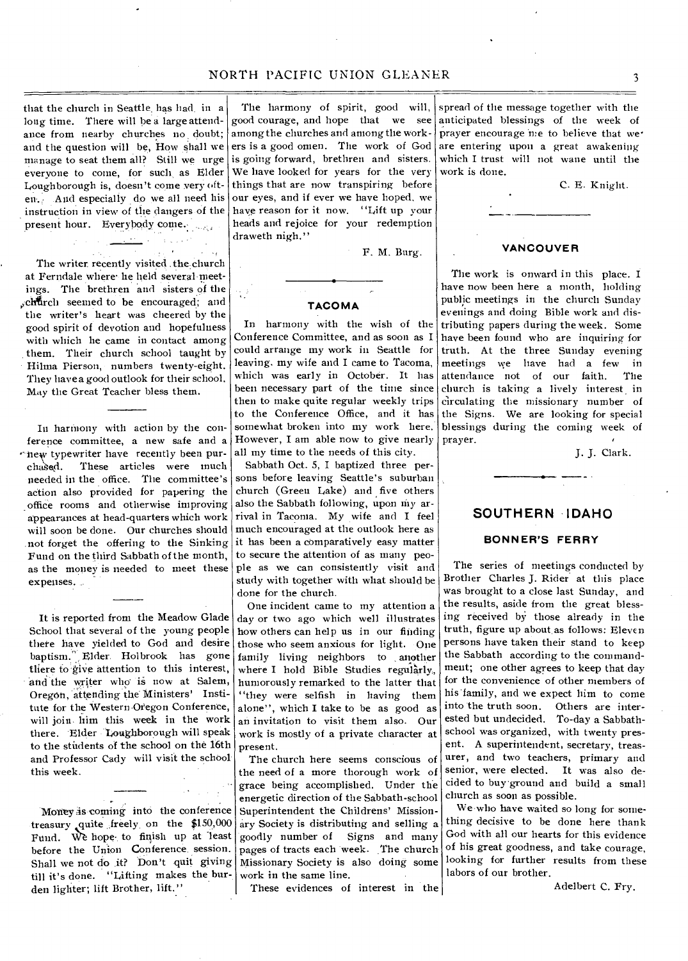that the church in Seattle. has had in a long time. There will he a large attendance from nearby churches no doubt; and the question will be, How shall we manage to seat them all? Still we urge everyone to come, for such as Elder Loughborough is, doesn't come very oft-And especially do we all need his instruction in view of the dangers of the present hour. Everybody come. <u>na a</u>ng

The writer, recently visited the church at Ferndale where he held several-meetings. The brethren and sisters of the ,,chtrch seemed to be encouraged; and the writer's heart was cheered by the good spirit of devotion and hopefulness with which he came in contact among them. Their church school taught by Hilma Pierson, numbers twenty-eight. They have a good outlook for their school. May the Great Teacher bless them.

In harmony with action by the conference committee, a new safe and a rinew typewriter have recently been purchased. These articles were much needed in the office. The committee's action also provided for papering the office rooms and otherwise improving appearances at head-quarters which work will soon be done. Our churches should .not forget the offering to the Sinking Fund on the third Sabbath of the month, as the money is needed to meet these expenses.

It is reported from the Meadow Glade School that several of the young people there have yielded to God and desire baptism. Elder Holbrook has gone there to give attention to this interest, and the writer who is now at Salem, Oregon, attending the Ministers' Institute for the Western Oregon Conference, will join him this week in the work there. Elder Loughborough will speak to the students of the school on the 16th and Professor Cady will visit the school this week.

Money is coming into the conference treasury quite freely on the \$150,000 Fund. We hope to finish up at least before the Union Conference session. Shall we not do it? Don't quit giving till it's done. "Lifting makes the burden lighter; lift Brother, lift."

The harmony of spirit, good will, good courage, and hope that we see among the churches and among the workers is a good omen. The work of God is going forward, brethren and sisters. We have looked for years for the very things that are now transpiring before our eyes, and if ever we have hoped, we have reason for it now. "Lift up your heads and rejoice for your redemption draweth nigh."

F. M. Burg.

#### **TACOMA**

In harmony with the wish of the Conference Committee, and as soon as I could arrange my work in Seattle for leaving. mywife and I came to Tacoma, which was early in October. It has been necessary part of the time since then to make quite regular weekly trips to the Conference Office, and it has somewhat broken into my work here. However, I am able now to give nearly all my time to the needs of this city.

Sabbath Oct. 5, I baptized three persons before leaving Seattle's suburban church (Green Lake) and five others also the Sabbath following, upon my arrival in Tacoma. My wife and I feel much encouraged at the outlook here as it has been a comparatively easy matter to secure the attention of as many people as we can consistently visit and study with together with what should be done for the church.

One incident came to my attention a day or two ago which well illustrates how others can help us in our finding those who seem anxious for light. One family living neighbors to , another where I hold Bible Studies regularly, humorously remarked to the latter that "they were selfish in having them alone", which I take to be as good as an invitation to visit them also. Our work is mostly of a private character at present.

The church here seems conscious of the need of a more thorough work of grace being accomplished. Under the energetic direction of the Sabbath-school Superintendent the Childrens' Missionary Society is distributing and selling a goodly number of Signs and many pages of tracts each week. The church Missionary Society is also doing some work in the same line.

These evidences of interest in the

spread of the message together with the anticipated blessings of the week of prayer encourage me to believe that we<sup>•</sup> are entering upon a great awakening which I trust will not wane until the work is done.

C. E. Knight.

## **VANCOUVER**

The work is onward in this place. I have now been here a month, holding public meetings in the church Sunday evenings and doing Bible work and distributing papers during the week. Some have been found who are inquiring for truth. At the three Sunday evening meetings we have had a few in<br>attendance not of our faith. The attendance not of our faith. church is taking a lively interest in circulating the missionary number of the Signs. We are looking for special blessings during the coming week of prayer.

J. J. Clark.

## **SOUTHERN IDAHO**

#### **BONNER'S FERRY**

The series of meetings conducted by Brother Charles J. Rider at this place was brought to a close last Sunday, and the results, aside from the great blessing received by those already in the truth, figure up about as follows: Eleven persons have taken their stand to keep the Sabbath according to the commandment; one other agrees to keep that day for the convenience of other members of his family, and we expect him to come into the truth soon. Others are interested but undecided. To-day a Sabbathschool was organized, with twenty present. A superintendent, secretary, treasurer, and two teachers, primary and senior, were elected. It was also decided to buy'ground and build a small church as soon as possible.

We-who have waited so long for something decisive to be done here thank God with all our hearts for this evidence of his great goodness, and take courage, looking for further results from these labors of our brother.

Adelbert C. Fry.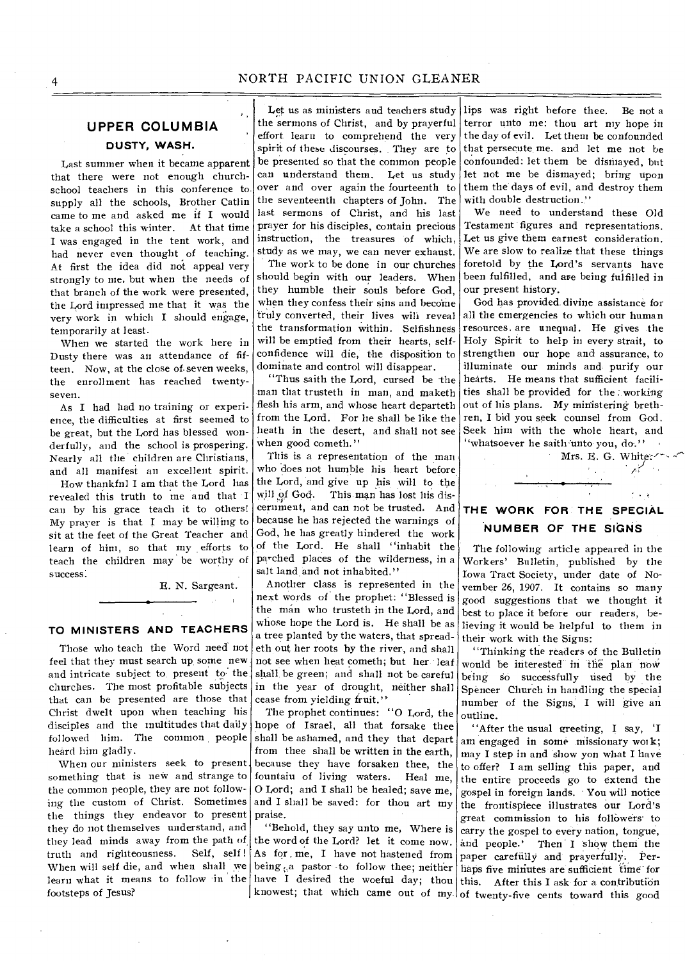## **UPPER COLUMBIA DUSTY, WASH.**

Last summer when it became apparent that there were not enough churchschool teachers in this conference to supply all the schools, Brother Catlin came to me and asked me if I would take a school this winter. At that time I was engaged in the tent work, and had never even thought of teaching. At first the idea did not appeal very strongly to me, but when the needs of that branch of the work were presented, the Lord impressed me that it was the very work in which I should engage, temporarily at least.

When we started the work here in Dusty there was an attendance of fifteen. Now, at the close of. seven weeks, the enrollment has reached twentyseven.

As I had had no training or experience, the difficulties at first seemed to be great, but the Lord has blessed wonderfully, and the school is prospering. Nearly all the children are Christians, and all manifest an excellent spirit.

How thankfnl I am that the Lord has revealed this truth to me and that I cau by his grace teach it to others! My prayer is that I may be willing to sit at the feet of the Great Teacher and learn of hint, so that my efforts to teach the children may be worthy of success:

E. N. Sargeant.

## **TO MINISTERS AND TEACHERS**

Those who teach the Word need not feel that they must search up some new and intricate subject to present to the churches. The most profitable subjects that can he presented are those that Christ dwelt upon when teaching his disciples and the multitudes that daily followed him. The common people heard him gladly.

When our ministers seek to present something that is new and strange to the common people, they are not following the custom of Christ. Sometimes the things they endeavor to present they do not themselves understand, and they lead minds away from the path of<br>truth and righteousness. Self. self! truth and righteousness. When will self die, and when shall we learn what it means to follow in the footsteps of Jesus?

Let us as ministers and teachers study the sermons of Christ, and by prayerful effort learn to comprehend the very spirit of these discourses. They are to be presented so that the common people can understand them. Let us study over and over again the fourteenth to the seventeenth chapters of John. The last sermons of Christ, and his last prayer for his disciples, contain precious instruction, the treasures of which, study as we may, we can never exhaust.

The work to be done in our churches should begin with our leaders. When they humble their souls before God, when they confess their sins and become truly converted, their lives will reveal the transformation within. Selfishness will be emptied from their hearts, selfconfidence will die, the disposition to dominate and control will disappear.

"Thus saith the Lord, cursed be the man that trusteth in man, and maketh flesh his arm, and whose heart departeth from the Lord. For he shall be like the heath in the desert, and shall not see when good cometh."

This is a representation of the man who does not humble his heart before the Lord, and give up his will to the This man has lost his discernment, and can not be trusted. And because he has rejected the warnings of God, he has greatly hindered the work of the Lord. He shall "inhabit the parched places of the wilderness, in a salt land and not inhabited."

Another class is represented in the next words of the prophet: "Blessed is the man who trusteth in the Lord, and whose hope the Lord is. He shall be as a tree planted by the waters, that spreadeth out her roots by the river, and shall not see when heat cometh; but her leaf shall be green; and shall not be careful in the year of drought, neither shall cease from yielding fruit.''

The prophet continues: "0 Lord, the hope of Israel, all that forsake thee shall be ashamed, and they that depart from thee shall be written in the earth, because they have forsaken thee, the<br>fountaiu of living waters. Heal me, fountain of living waters. 0 Lord; and I shall be healed; save me, and I shall be saved: for thou art my praise.

"Behold, they say unto me, Where is the word of the Lord? let it come now. As for me, I have not hastened from paper carefully and prayerfully. Perbeing  $t<sub>i</sub>$  a pastor to follow thee; neither haps five minutes are sufficient time for have I desired the woeful day; thou this. After this I ask for a contribution

lips was right before thee. Be not a terror unto me: thou art my hope in the day of evil. Let them be confounded that persecute me. and let me not be confounded: let them be dismayed, but let not me be dismayed; bring upon them the days of evil, and destroy them with double destruction."

We need to understand these Old Testament figures and representations. Let us give them earnest consideration. We are slow to realize that these things foretold by the Lord's servants have been fulfilled, and are being fulfilled in our present history.

God has provided. divine assistance for all the emergencies to which our human resources. are unequal. He gives the Holy Spirit to help in every strait, to strengthen our hope and assurance, to illuminate our minds and purify our hearts. He means that sufficient facilities shall be provided for the , working out of his plans. My ministering brethren, I bid you seek counsel from God. Seek him with the whole heart, and "whatsoever he saith unto you, do."

**THE WORK FOR THE SPECIAL NUMBER OF THE SIGNS** 

Mrs. E. G. White:/:

The following article appeared in the Workers' Bulletin, published by the Iowa Tract Society, under date of November 26, 1907. It contains so many good suggestions that we thought it best to place it before our readers, believing it would be helpful to them in their work with the Signs:

"Thinking the readers of the Bulletin would be interested in the plan tiow being so successfully used by the Spencer Church in handling the special number of the Signs, I will give an outline.

knowest; that which came out of my of twenty-five cents toward this good "After the usual greeting, I say, 'I am engaged in some missionary work; may I step in and show yon what I have to offer? I am selling this paper, and the entire proceeds go to extend the gospel in foreign lands. You will notice the frontispiece illustrates our Lord's great commission to his followers-to carry the gospel to every nation, tongue, and people.' Then I show them the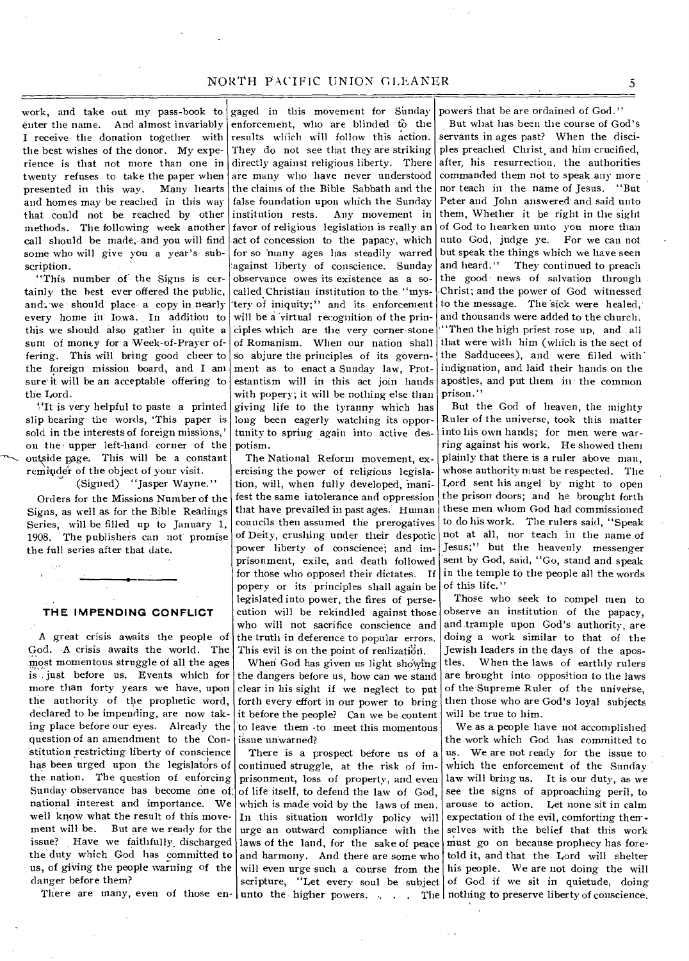work, and take out my pass-book to enter the name. And almost invariably I receive the donation together with the best wishes of the donor. My experience is that not more than one in twenty refuses to take the paper when presented in this way. Many hearts and homes may be reached in this way that could not be reached by other methods. The following week another call should be made, and you will find some who will give you a year's subscription.

"This number of the Signs is certainly the best ever offered the public, and, we should place• a copy in nearly every home in' Iowa. In addition to this we should also gather in quite a sum of money for a Week-of-Prayer offering. This will bring good cheer to the foreign mission board, and I am sure it will be an acceptable offering to the Lord.

'It is very helpful to paste a printed slip bearing the words, 'This paper is sold in the interests of foreign missions,' on the upper left-hand corner of the outside page. This will be a constant reminder of the object of your visit.

(Signed) "Jasper Wayne."

Orders for the Missions Number of the Signs, as well as for the Bible Readings Series, will be filled up to January 1, 1908. The publishers can not promise the full series after that date.

#### **THE IMPENDING CONFLICT**

A great crisis awaits the people of God. A crisis awaits the world. The most momentous struggle of all the ages is just before us. Events which for more than forty years we have, upon the authority of the prophetic word, declared to be impending, are now taking place before our eyes. Already the question of an amendment to the Constitution restricting liberty of conscience has been urged upon the legislators of the nation. The question of enforcing Sunday observance has become one of national interest and importance. We well know what the result of this move-<br>ment will be. But are we ready for the But are we ready for the issue? Have we faithfully, discharged the duty which God has committed to us, of giving the people warning of the danger before them?

gaged in this movement for Sunday enforcement, who are blinded to the results which will follow this action. They do not see that they are striking directly against religious liberty. There are many who have never understood the claims of the Bible Sabbath and the false foundation upon which the Sunday institution rests. Any movement in favor of religious legislation is really an act of concession to the papacy, which for so 'many ages has steadily warred against liberty of conscience. Sunday observance owes its existence as a socalled Christian institution to the "mystery of iniquity;" and its enforcement will be a virtual recognition of the principles which are the very corner-stone of Romanism. When our nation shall So abjure the principles of its government as to enact a Sunday law, Protestantism will in this act join hands with popery; it will be nothing else than giving life to the tyranny which has long been eagerly watching its opportunity to spring again into active despotism.

The National Reform movement, exercising the power of religious legislation, will, when fully developed, manifest the same intolerance and oppression that have prevailed in past ages. Human councils then assumed the prerogatives of Deity, crushing under their despotic power liberty of conscience; and imprisonment, exile, and death followed for those who opposed their dictates. If popery or its principles shall again be legislated into power, the fires of persecution will be rekindled against those who will not sacrifice conscience and the truth in deference to popular errors. This evil is on the point of realization.

When God has given us light showing the dangers before us, how can we stand clear in his sight if we neglect to put forth every effort in our power to bring it before the people? Can we be content to leave them .to meet this momentous issue unwarned?

There is a prospect before us of a continued struggle, at the risk of imprisonment, loss of property, and even of life itself, to defend the law of God, which is made void by the laws of men. In this situation worldly policy will urge an outward compliance with the laws of the land, for the sake of peace and harmony. And there are some who will even urge such a course from the scripture, "Let every soul be subject

powers that be are ordained of God."

But what has been the course of God's servants in ages past? When the disciples preached Christ, and him crucified, after, his resurrection, the authorities commanded them not to speak any more nor teach in the name of Jesus. "But Peter and John answered and said unto them, Whether it be right in the sight of God to hearken unto you more than unto God, judge ye. For we can not but speak the things which we have seen and heard." They continued to preach the good news of salvation through Christ; and the power of God witnessed to the message. The sick were healed, and thousands were added to the church. '"Then the high priest rose up, and all that were with him (which is the sect of the Sadducees), and were filled with' indignation, and laid their hands on the apostles, and put them in the common prison."

But the God of heaven, the mighty Ruler of the universe, took this matter into his own hands; for men were warring against his work. He showed them plainly that there is a ruler above man, whose authority must be respected. The Lord sent his angel by night to open the prison doors; and he brought forth these men whom God had commissioned to do his work. The rulers said, "Speak not at all, nor teach in the name of Jesus;" but the heavenly messenger sent by God, said, "Go, stand and speak in the temple to the people all the words of this life.''

Those who seek to compel men to observe an institution of the papacy, and trample upon God's authority, are doing a work similar to that of the Jewish leaders in the days of the apostles. When the laws of earthly rulers are brought into opposition to the laws of the Supreme Ruler of the universe, then those who are God's loyal subjects will be true to him.

We as a people have not accomplished the work which God has committed to us. We are not ready for the issue to which the enforcement of the Sunday law will bring us. It is our duty, as we see the signs of approaching peril, to arouse to action. Let none sit in calm expectation of the evil, comforting then- selves with the belief that this work must go on because prophecy has foretold it, and that the Lord will shelter his people. We are not doing the will of God if we sit in quietude, doing There are many, even of those en- unto the higher powers. . . . The nothing to preserve liberty of conscience.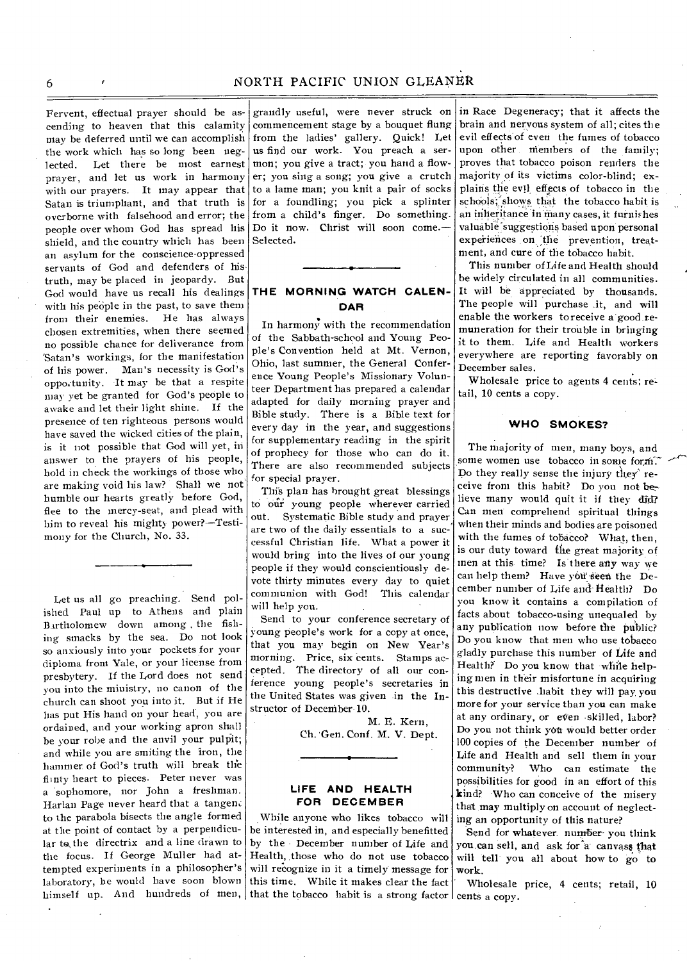## 6 NORTH PACIFIC UNION GLEANER

Fervent, effectual prayer should be ascending to heaven that this calamity may be deferred until we can accomplish the work which has so long been neglected. Let there be most earnest prayer, and let us work in harmony with our prayers. It may appear that Satan is triumphant, and that truth is overborne with falsehood and error; the people over whom God has spread his shield, and the country which has been an asylum for the conscience-oppressed servants of God and defenders of his. truth, may be placed in jeopardy. But God would have us recall his dealings with his people in the past, to save them from their enemies. He has always chosen extremities, when there seemed no possible chance for deliverance from `Satan's workings, for the manifestation of his power. Man's necessity is God's opportunity. It may be that a respite may yet be granted for God's people to awake and let their light shine. If the presence of ten righteous persons would have saved the wicked cities of the plain, is it not possible that God will yet, in answer to the prayers of his people, hold in check the workings of those who are making void his law? Shall we not humble our hearts greatly before God, flee to the mercy-seat, and plead with him to reveal his mighty power?—Testimony for the Church, No. 33.

Let us all go preaching. Send polished Paul up to Athens and plain Bartholomew down among . the fishing smacks by the sea. Do not look so anxiously into your pockets for your diploma from Yale, or your license from presbytery. If the Lord does not send you into the ministry, no canon of the church can shoot you into it. But if He has put His hand on your head, you are ordained, and your working apron shall be your robe and the anvil your pulpit; and while you are smiting the iron, the hammer of God's truth will break the flinty heart to pieces. Peter never was a sophomore, nor John a freshman. Harlan Page never heard that a tangen. to the parabola bisects the angle formed at the point of contact by a perpendicular to:the directrix and a line drawn to by the December number of Life and the focus. If George Muller had at-Health, those who do not use tobacco tempted experiments in a philosopher's laboratory, he would have soon blown this time. While it makes clear the fact

grandly useful, were never struck on commencement stage by a bouquet flung from the ladies' gallery. Quick! Let us find our work. You preach a sermon; you give a tract; you hand a flower; you sing a song; you give a crutch to a lame man; you knit a pair of socks for a foundling; you pick a splinter from a child's finger. Do something. Do it now. Christ will soon come.— Selected.

## **THE MORNING WATCH CALEN-DAR**

In harmony with the recommendation of the Sabbath-school and Young People's Convention held at Mt. Vernon, Ohio, last summer, the General Conference Young People's Missionary Volunteer Department has prepared a calendar adapted for daily morning prayer and Bible study. There is a Bible text for every day in the year, and suggestions for supplementary reading in the spirit of prophecy for those who can do it. There are also recommended subjects for special prayer.

This plan has brought great blessings to our' young people wherever carried out. Systematic Bible study and prayer are two of the daily essentials to a successful Christian life. What a power it would bring into the lives of our young people if they would conscientiously devote thirty minutes every day to quiet communion with God! This calendar will help you.

Send to your conference secretary of young people's work for a copy at once, that you may begin on New Year's morning. Price, six cents. Stamps accepted. The directory of all our conference young people's secretaries in the United States was given in the Instructor of Deceniber 10.

> M. E. Kern, Ch. 'Gen. Conf. M. V. Dept.

#### **LIFE AND HEALTH FOR DECEMBER**

himself up. And hundreds of men, that the tobacco habit is a strong factor cents a copy. While anyone who likes tobacco will be interested in, and especially benefitted will recognize in it a timely message for

in Race Degeneracy; that it affects the brain and nervous system of all; cites the evil effects of even the fumes of tobacco upon other members of the family; proves that tobacco poison renders the majority of its victims color-blind; explains the evil effects of tobacco in the schools; shows that the tobacco habit is an inheritance in many cases, it furnishes valuable suggestions based upon personal experiences on the prevention, treatment, and cure of the tobacco habit.

This number of Life and Health should be widely circulated in all communities. It will be appreciated by thousands. The people will purchase .it, and will enable the workers to receive a good remuneration for their trouble in bringing it to them. Life and Health workers everywhere are reporting favorably on December sales.

Wholesale price to agents 4 cents; retail, 10 cents a copy.

#### **WHO SMOKES?**

The majority of men, many boys, and some women use tobacco in some form. Do they really sense the injury they' receive from this habit? Do you not believe many would quit it if they did? Can men comprehend spiritual things when their minds and bodies are poisoned with the fumes of tobacco? What, then, is our duty toward file great majority of men at this time? Is there any way we can help them? Have you seen the December number of Life and' Health? Do you know it contains a compilation of facts about tobacco-using unequaled by any publication now before the public? Do you know that men who use tobacco gladly purchase this number of Life and Health? Do you know that while helping men in their misfortune in acquiring this destructive ,habit they will pay you more for your service than you can make at any ordinary, or even skilled, labor? Do you not think yOtt would better order 100 copies of the December number of Life and Health and sell them in your community? Who can estimate the possibilities for good in an effort of this kind? Who can conceive of the misery that may multiply on account of neglecting an opportunity of this nature?

Send for whatever. number- you think you can sell, and ask for a canvass that will tell you all about how to go to work.

Wholesale price, 4 cents; retail, 10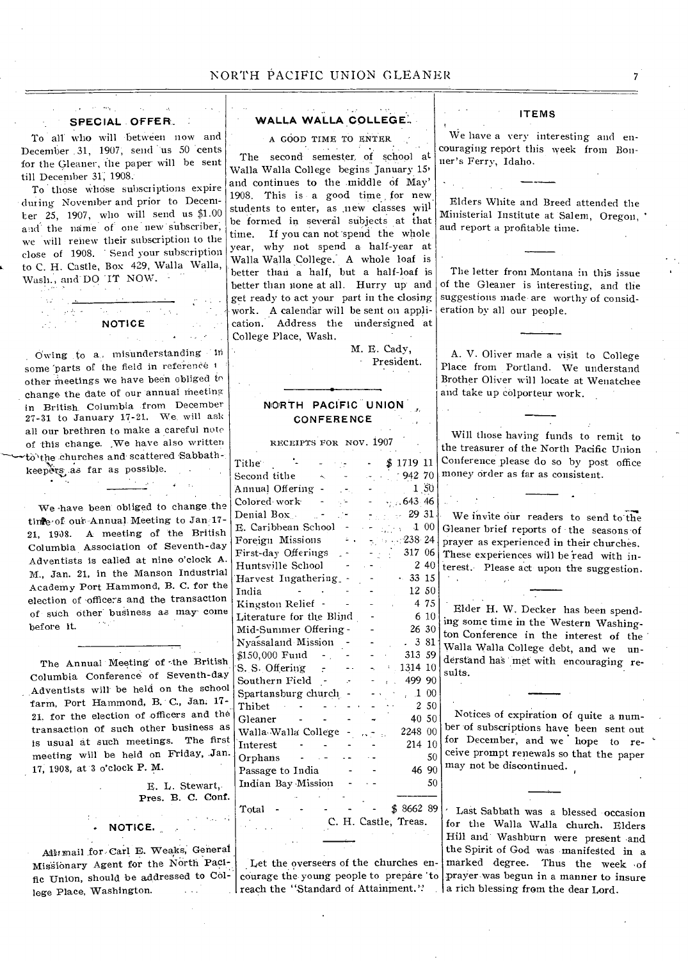#### **• SPECIAL . OFFER**

To all who will between now and December 31, 1907, send us 50 cents for the Gleaner, the paper will be sent till December 31; 1908.

 $\sim 10^{-1}$ 

To those whose subscriptions expire during November and prior to December 25, 1907, who will send us \$1.00 and the name of one new subscriber, we will renew their subscription to the close of 1908. Send your subscription to C. H. Castle, Box 429, Walla Walla, Wash., and'DO 'IT NOW.

**NOTICE** 

Owing to a. misunderstanding in some parts of the field in reference 1 other meetings we have been obliged to change the date of our annual meeting in British. Columbia from December 27-31 to January 17-21. We will ask all our brethren to make a careful note of this change. We have also written to'the churches and scattered Sabbathkeepers as far as possible.

We -have been obliged to change the tinge of our Annual Meeting to Jan 17-21, 19O8. A meeting of the British Columbia Association of Seventh-day Adventists is called at nine o'clock A. M., Jan. 21, in the Manson Industrial Academy Port Hammond, B. C. for the election of officers and the transaction of such other business as may come before it.

The Annual Meeting of the British Columbia Conference of Seventh-day Adventists will be held on the school farm, Port Hammond, B. C., Jan. 17- 21, for the election of officers and the transaction of such other business as is usual at such meetings. The first meeting will be held on Friday, Jan. 17, 1908, at '3 o'clock P. M.

> E. L. Stewart, Pres. **B. C. Conf.**

Aillirmail for Carl B. Weaks, General Misibnary Agent for the North Pacific Union, should be addressed to College Place, Washington.

**NOTICE.** 

## **WALLA WALLA COLLEGE.,**

A GOOD TIME TO ENTER

The second semester. of school at Walla Walla College begins January 15> and continues to the middle of May' 1908. This is a good time, for new. students to enter, as .new classes will be formed in several subjects at that time. If you can not spend the whole year, why not spend a half-year at Walla Walla College. A whole loaf is better than a half, but a half-loaf is better than none at all. Hurry up' and get ready to act your part in the closing work. A calendar will be sent on application. Address the undersigned at College Place, Wash.

M. E. Cady, - President.

## **NORTH PACIFIC UNION . CONFERENCE**

| RECEIPTS FOR NOV. 1907   |  |                      |           |                 |
|--------------------------|--|----------------------|-----------|-----------------|
| $\mathrm{Tithe}$ :       |  |                      | \$171911  |                 |
| Second tithe             |  |                      | $-94270$  |                 |
| Annual Offering          |  |                      |           | $1\, , 50$      |
| Colored work             |  |                      | .643.46   |                 |
| Denial Box .             |  |                      | 29 31     |                 |
| E. Caribbean School      |  |                      |           | 100             |
| Foreign Missions         |  |                      | $-238.24$ |                 |
| First-day Offerings      |  |                      | 317 06    |                 |
| Huntsville School        |  |                      |           | 240             |
| Harvest Ingathering      |  |                      |           | 33 15           |
| India                    |  |                      |           | 12 50           |
| Kingston Relief          |  |                      |           | 4 75            |
| Literature for the Blind |  |                      |           | 6 10            |
| Mid-Summer Offering -    |  |                      |           | 26 30           |
| Nyassaland Mission       |  |                      |           | 3 81            |
| \$150,000 Fund           |  |                      | 313 59    |                 |
| S. S. Offering           |  |                      | 1314 10   |                 |
| Southern Field           |  |                      | 499 90    |                 |
| Spartansburg church      |  |                      |           | 1 00            |
| Thibet                   |  |                      |           | 2S <sub>0</sub> |
| Gleaner                  |  |                      |           | 40 50           |
| Walla Walla College      |  |                      | 2248 00   |                 |
| Interest                 |  |                      | 214       | 10              |
| Orphans                  |  |                      |           | 50              |
| Passage to India         |  |                      |           | 46 90           |
| Indian Bay Mission       |  |                      |           | 50              |
| Total                    |  | C. H. Castle, Treas. | \$866289  |                 |
|                          |  |                      |           |                 |

Let the overseers of the churches enreach the "Standard of Attainment." | a rich blessing from the dear Lord.

**ITEMS** 

We have a very interesting and encouraging report this week from Bonner's Ferry, Idaho.

Elders White and Breed attended the Ministerial Institute at Salem, Oregon, • and report a profitable time.

The letter from Montana in this issue of the Gleaner is interesting, and the suggestions made are worthy of consideration by all our people.

A. V. Oliver made a visit to College Place from Portland. We understand Brother Oliver will locate at Wenatchee and take up colporteur work.

Will those having funds to remit to the treasurer of the North Pacific Union Conference please do so by post office money order as far as consistent.

We invite our readers to send to the Gleaner brief reports of the seasons of prayer as experienced in their churches. These experiences will be 'read with interest. Please act upon the suggestion.

Elder **H.** W. Decker has been spending some time in the Western Washington Conference in the interest of the Walla Walla College debt, and we understand has met with encouraging results.

Notices of expiration of quite a number of subscriptions have been sent out for December, and we hope to receive prompt renewals so that the paper may not be discontinued.

courage the young people to prepare 'to prayer was begun in a manner to insure Last Sabbath was a blessed occasion for the Walla Walla church. Elders Hill and Washburn were present and the Spirit of God was manifegted in a marked degree. Thus the week of